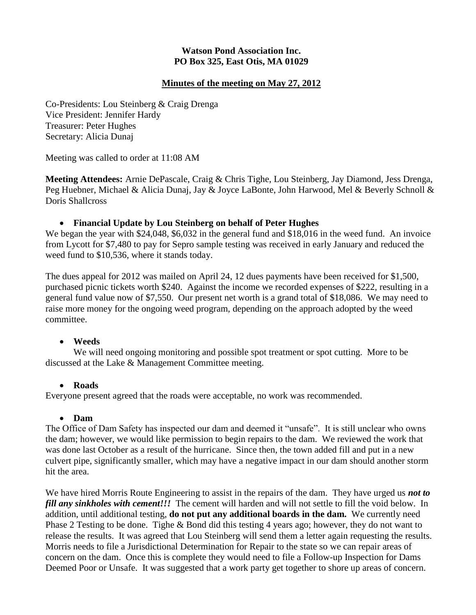## **Watson Pond Association Inc. PO Box 325, East Otis, MA 01029**

## **Minutes of the meeting on May 27, 2012**

Co-Presidents: Lou Steinberg & Craig Drenga Vice President: Jennifer Hardy Treasurer: Peter Hughes Secretary: Alicia Dunaj

Meeting was called to order at 11:08 AM

**Meeting Attendees:** Arnie DePascale, Craig & Chris Tighe, Lou Steinberg, Jay Diamond, Jess Drenga, Peg Huebner, Michael & Alicia Dunaj, Jay & Joyce LaBonte, John Harwood, Mel & Beverly Schnoll & Doris Shallcross

### **Financial Update by Lou Steinberg on behalf of Peter Hughes**

We began the year with \$24,048, \$6,032 in the general fund and \$18,016 in the weed fund. An invoice from Lycott for \$7,480 to pay for Sepro sample testing was received in early January and reduced the weed fund to \$10,536, where it stands today.

The dues appeal for 2012 was mailed on April 24, 12 dues payments have been received for \$1,500, purchased picnic tickets worth \$240. Against the income we recorded expenses of \$222, resulting in a general fund value now of \$7,550. Our present net worth is a grand total of \$18,086. We may need to raise more money for the ongoing weed program, depending on the approach adopted by the weed committee.

### **Weeds**

We will need ongoing monitoring and possible spot treatment or spot cutting. More to be discussed at the Lake & Management Committee meeting.

### **Roads**

Everyone present agreed that the roads were acceptable, no work was recommended.

#### **Dam**

The Office of Dam Safety has inspected our dam and deemed it "unsafe". It is still unclear who owns the dam; however, we would like permission to begin repairs to the dam. We reviewed the work that was done last October as a result of the hurricane. Since then, the town added fill and put in a new culvert pipe, significantly smaller, which may have a negative impact in our dam should another storm hit the area.

We have hired Morris Route Engineering to assist in the repairs of the dam. They have urged us *not to fill any sinkholes with cement!!!* The cement will harden and will not settle to fill the void below. In addition, until additional testing, **do not put any additional boards in the dam.** We currently need Phase 2 Testing to be done. Tighe & Bond did this testing 4 years ago; however, they do not want to release the results. It was agreed that Lou Steinberg will send them a letter again requesting the results. Morris needs to file a Jurisdictional Determination for Repair to the state so we can repair areas of concern on the dam. Once this is complete they would need to file a Follow-up Inspection for Dams Deemed Poor or Unsafe. It was suggested that a work party get together to shore up areas of concern.